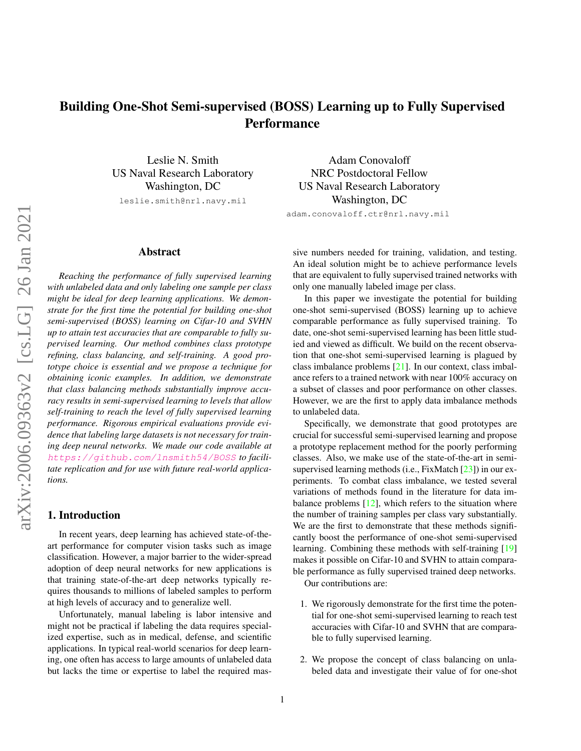# <span id="page-0-0"></span>Building One-Shot Semi-supervised (BOSS) Learning up to Fully Supervised **Performance**

Leslie N. Smith US Naval Research Laboratory Washington, DC

leslie.smith@nrl.navy.mil

## Abstract

*Reaching the performance of fully supervised learning with unlabeled data and only labeling one sample per class might be ideal for deep learning applications. We demonstrate for the first time the potential for building one-shot semi-supervised (BOSS) learning on Cifar-10 and SVHN up to attain test accuracies that are comparable to fully supervised learning. Our method combines class prototype refining, class balancing, and self-training. A good prototype choice is essential and we propose a technique for obtaining iconic examples. In addition, we demonstrate that class balancing methods substantially improve accuracy results in semi-supervised learning to levels that allow self-training to reach the level of fully supervised learning performance. Rigorous empirical evaluations provide evidence that labeling large datasets is not necessary for training deep neural networks. We made our code available at* <https://github.com/lnsmith54/BOSS> *to facilitate replication and for use with future real-world applications.*

## 1. Introduction

In recent years, deep learning has achieved state-of-theart performance for computer vision tasks such as image classification. However, a major barrier to the wider-spread adoption of deep neural networks for new applications is that training state-of-the-art deep networks typically requires thousands to millions of labeled samples to perform at high levels of accuracy and to generalize well.

Unfortunately, manual labeling is labor intensive and might not be practical if labeling the data requires specialized expertise, such as in medical, defense, and scientific applications. In typical real-world scenarios for deep learning, one often has access to large amounts of unlabeled data but lacks the time or expertise to label the required mas-

Adam Conovaloff NRC Postdoctoral Fellow US Naval Research Laboratory Washington, DC adam.conovaloff.ctr@nrl.navy.mil

sive numbers needed for training, validation, and testing. An ideal solution might be to achieve performance levels that are equivalent to fully supervised trained networks with only one manually labeled image per class.

In this paper we investigate the potential for building one-shot semi-supervised (BOSS) learning up to achieve comparable performance as fully supervised training. To date, one-shot semi-supervised learning has been little studied and viewed as difficult. We build on the recent observation that one-shot semi-supervised learning is plagued by class imbalance problems [\[21\]](#page-8-0). In our context, class imbalance refers to a trained network with near 100% accuracy on a subset of classes and poor performance on other classes. However, we are the first to apply data imbalance methods to unlabeled data.

Specifically, we demonstrate that good prototypes are crucial for successful semi-supervised learning and propose a prototype replacement method for the poorly performing classes. Also, we make use of the state-of-the-art in semisupervised learning methods (i.e., FixMatch [\[23\]](#page-8-1)) in our experiments. To combat class imbalance, we tested several variations of methods found in the literature for data imbalance problems  $[12]$ , which refers to the situation where the number of training samples per class vary substantially. We are the first to demonstrate that these methods significantly boost the performance of one-shot semi-supervised learning. Combining these methods with self-training [\[19\]](#page-8-3) makes it possible on Cifar-10 and SVHN to attain comparable performance as fully supervised trained deep networks.

Our contributions are:

- 1. We rigorously demonstrate for the first time the potential for one-shot semi-supervised learning to reach test accuracies with Cifar-10 and SVHN that are comparable to fully supervised learning.
- 2. We propose the concept of class balancing on unlabeled data and investigate their value of for one-shot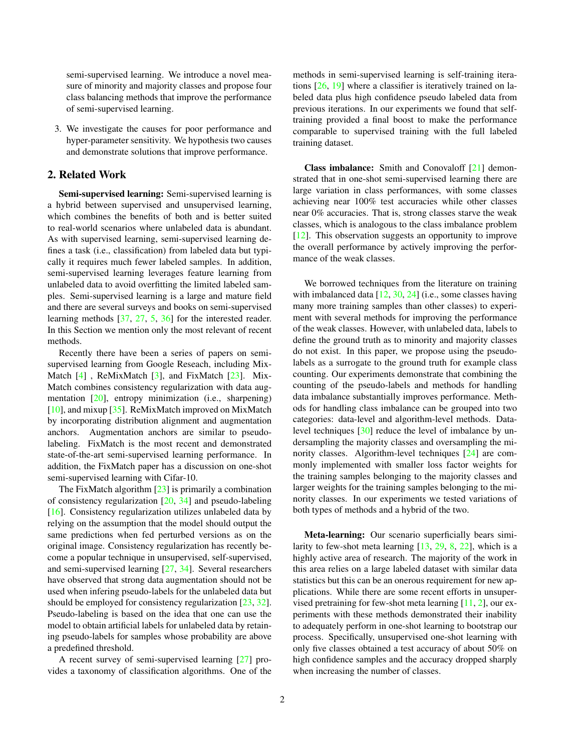<span id="page-1-0"></span>semi-supervised learning. We introduce a novel measure of minority and majority classes and propose four class balancing methods that improve the performance of semi-supervised learning.

3. We investigate the causes for poor performance and hyper-parameter sensitivity. We hypothesis two causes and demonstrate solutions that improve performance.

## 2. Related Work

Semi-supervised learning: Semi-supervised learning is a hybrid between supervised and unsupervised learning, which combines the benefits of both and is better suited to real-world scenarios where unlabeled data is abundant. As with supervised learning, semi-supervised learning defines a task (i.e., classification) from labeled data but typically it requires much fewer labeled samples. In addition, semi-supervised learning leverages feature learning from unlabeled data to avoid overfitting the limited labeled samples. Semi-supervised learning is a large and mature field and there are several surveys and books on semi-supervised learning methods [\[37,](#page-9-0) [27,](#page-8-4) [5,](#page-8-5) [36\]](#page-9-1) for the interested reader. In this Section we mention only the most relevant of recent methods.

Recently there have been a series of papers on semisupervised learning from Google Reseach, including Mix-Match [\[4\]](#page-8-6), ReMixMatch [\[3\]](#page-8-7), and FixMatch [\[23\]](#page-8-1). Mix-Match combines consistency regularization with data augmentation [\[20\]](#page-8-8), entropy minimization (i.e., sharpening) [\[10\]](#page-8-9), and mixup [\[35\]](#page-9-2). ReMixMatch improved on MixMatch by incorporating distribution alignment and augmentation anchors. Augmentation anchors are similar to pseudolabeling. FixMatch is the most recent and demonstrated state-of-the-art semi-supervised learning performance. In addition, the FixMatch paper has a discussion on one-shot semi-supervised learning with Cifar-10.

The FixMatch algorithm  $[23]$  is primarily a combination of consistency regularization [\[20,](#page-8-8) [34\]](#page-9-3) and pseudo-labeling [\[16\]](#page-8-10). Consistency regularization utilizes unlabeled data by relying on the assumption that the model should output the same predictions when fed perturbed versions as on the original image. Consistency regularization has recently become a popular technique in unsupervised, self-supervised, and semi-supervised learning [\[27,](#page-8-4) [34\]](#page-9-3). Several researchers have observed that strong data augmentation should not be used when infering pseudo-labels for the unlabeled data but should be employed for consistency regularization [\[23,](#page-8-1) [32\]](#page-9-4). Pseudo-labeling is based on the idea that one can use the model to obtain artificial labels for unlabeled data by retaining pseudo-labels for samples whose probability are above a predefined threshold.

A recent survey of semi-supervised learning [\[27\]](#page-8-4) provides a taxonomy of classification algorithms. One of the methods in semi-supervised learning is self-training iterations [\[26,](#page-8-11) [19\]](#page-8-3) where a classifier is iteratively trained on labeled data plus high confidence pseudo labeled data from previous iterations. In our experiments we found that selftraining provided a final boost to make the performance comparable to supervised training with the full labeled training dataset.

Class imbalance: Smith and Conovaloff [\[21\]](#page-8-0) demonstrated that in one-shot semi-supervised learning there are large variation in class performances, with some classes achieving near 100% test accuracies while other classes near 0% accuracies. That is, strong classes starve the weak classes, which is analogous to the class imbalance problem [\[12\]](#page-8-2). This observation suggests an opportunity to improve the overall performance by actively improving the performance of the weak classes.

We borrowed techniques from the literature on training with imbalanced data [\[12,](#page-8-2) [30,](#page-9-5) [24\]](#page-8-12) (i.e., some classes having many more training samples than other classes) to experiment with several methods for improving the performance of the weak classes. However, with unlabeled data, labels to define the ground truth as to minority and majority classes do not exist. In this paper, we propose using the pseudolabels as a surrogate to the ground truth for example class counting. Our experiments demonstrate that combining the counting of the pseudo-labels and methods for handling data imbalance substantially improves performance. Methods for handling class imbalance can be grouped into two categories: data-level and algorithm-level methods. Datalevel techniques [\[30\]](#page-9-5) reduce the level of imbalance by undersampling the majority classes and oversampling the minority classes. Algorithm-level techniques [\[24\]](#page-8-12) are commonly implemented with smaller loss factor weights for the training samples belonging to the majority classes and larger weights for the training samples belonging to the minority classes. In our experiments we tested variations of both types of methods and a hybrid of the two.

Meta-learning: Our scenario superficially bears similarity to few-shot meta learning [\[13,](#page-8-13) [29,](#page-8-14) [8,](#page-8-15) [22\]](#page-8-16), which is a highly active area of research. The majority of the work in this area relies on a large labeled dataset with similar data statistics but this can be an onerous requirement for new applications. While there are some recent efforts in unsupervised pretraining for few-shot meta learning [\[11,](#page-8-17) [2\]](#page-8-18), our experiments with these methods demonstrated their inability to adequately perform in one-shot learning to bootstrap our process. Specifically, unsupervised one-shot learning with only five classes obtained a test accuracy of about 50% on high confidence samples and the accuracy dropped sharply when increasing the number of classes.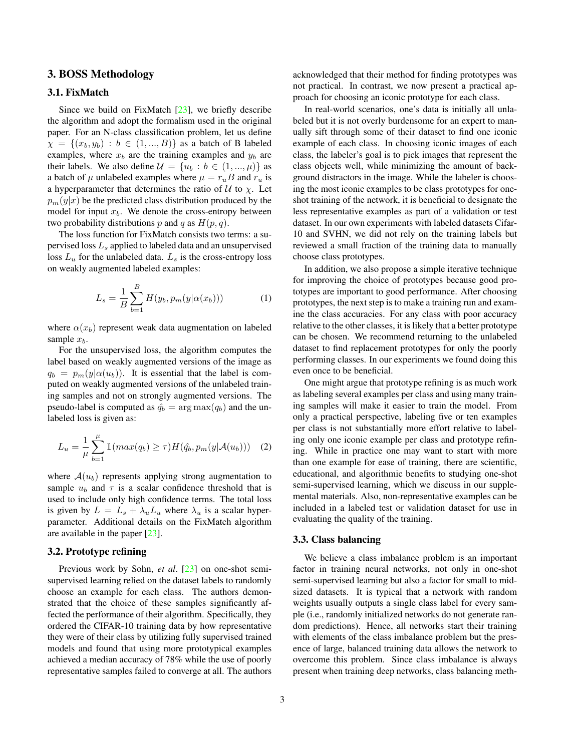## <span id="page-2-2"></span>3. BOSS Methodology

## 3.1. FixMatch

Since we build on FixMatch  $[23]$ , we briefly describe the algorithm and adopt the formalism used in the original paper. For an N-class classification problem, let us define  $\chi = \{(x_b, y_b) : b \in (1, ..., B)\}\$ as a batch of B labeled examples, where  $x_b$  are the training examples and  $y_b$  are their labels. We also define  $\mathcal{U} = \{u_b : b \in (1, ..., \mu)\}\$ as a batch of  $\mu$  unlabeled examples where  $\mu = r_u B$  and  $r_u$  is a hyperparameter that determines the ratio of  $U$  to  $\chi$ . Let  $p_m(y|x)$  be the predicted class distribution produced by the model for input  $x_b$ . We denote the cross-entropy between two probability distributions p and q as  $H(p, q)$ .

The loss function for FixMatch consists two terms: a supervised loss  $L<sub>s</sub>$  applied to labeled data and an unsupervised loss  $L_u$  for the unlabeled data.  $L_s$  is the cross-entropy loss on weakly augmented labeled examples:

$$
L_s = \frac{1}{B} \sum_{b=1}^{B} H(y_b, p_m(y|\alpha(x_b)))
$$
 (1)

where  $\alpha(x_b)$  represent weak data augmentation on labeled sample  $x_b$ .

For the unsupervised loss, the algorithm computes the label based on weakly augmented versions of the image as  $q_b = p_m(y|\alpha(u_b))$ . It is essential that the label is computed on weakly augmented versions of the unlabeled training samples and not on strongly augmented versions. The pseudo-label is computed as  $q_b$  =  $\arg \max(q_b)$  and the unlabeled loss is given as:

<span id="page-2-0"></span>
$$
L_u = \frac{1}{\mu} \sum_{b=1}^{\mu} \mathbb{1}(max(q_b) \ge \tau) H(\hat{q_b}, p_m(y|\mathcal{A}(u_b))) \quad (2)
$$

where  $\mathcal{A}(u_b)$  represents applying strong augmentation to sample  $u_b$  and  $\tau$  is a scalar confidence threshold that is used to include only high confidence terms. The total loss is given by  $L = L_s + \lambda_u L_u$  where  $\lambda_u$  is a scalar hyperparameter. Additional details on the FixMatch algorithm are available in the paper [\[23\]](#page-8-1).

## 3.2. Prototype refining

Previous work by Sohn, *et al*. [\[23\]](#page-8-1) on one-shot semisupervised learning relied on the dataset labels to randomly choose an example for each class. The authors demonstrated that the choice of these samples significantly affected the performance of their algorithm. Specifically, they ordered the CIFAR-10 training data by how representative they were of their class by utilizing fully supervised trained models and found that using more prototypical examples achieved a median accuracy of 78% while the use of poorly representative samples failed to converge at all. The authors acknowledged that their method for finding prototypes was not practical. In contrast, we now present a practical approach for choosing an iconic prototype for each class.

In real-world scenarios, one's data is initially all unlabeled but it is not overly burdensome for an expert to manually sift through some of their dataset to find one iconic example of each class. In choosing iconic images of each class, the labeler's goal is to pick images that represent the class objects well, while minimizing the amount of background distractors in the image. While the labeler is choosing the most iconic examples to be class prototypes for oneshot training of the network, it is beneficial to designate the less representative examples as part of a validation or test dataset. In our own experiments with labeled datasets Cifar-10 and SVHN, we did not rely on the training labels but reviewed a small fraction of the training data to manually choose class prototypes.

In addition, we also propose a simple iterative technique for improving the choice of prototypes because good prototypes are important to good performance. After choosing prototypes, the next step is to make a training run and examine the class accuracies. For any class with poor accuracy relative to the other classes, it is likely that a better prototype can be chosen. We recommend returning to the unlabeled dataset to find replacement prototypes for only the poorly performing classes. In our experiments we found doing this even once to be beneficial.

One might argue that prototype refining is as much work as labeling several examples per class and using many training samples will make it easier to train the model. From only a practical perspective, labeling five or ten examples per class is not substantially more effort relative to labeling only one iconic example per class and prototype refining. While in practice one may want to start with more than one example for ease of training, there are scientific, educational, and algorithmic benefits to studying one-shot semi-supervised learning, which we discuss in our supplemental materials. Also, non-representative examples can be included in a labeled test or validation dataset for use in evaluating the quality of the training.

#### <span id="page-2-1"></span>3.3. Class balancing

We believe a class imbalance problem is an important factor in training neural networks, not only in one-shot semi-supervised learning but also a factor for small to midsized datasets. It is typical that a network with random weights usually outputs a single class label for every sample (i.e., randomly initialized networks do not generate random predictions). Hence, all networks start their training with elements of the class imbalance problem but the presence of large, balanced training data allows the network to overcome this problem. Since class imbalance is always present when training deep networks, class balancing meth-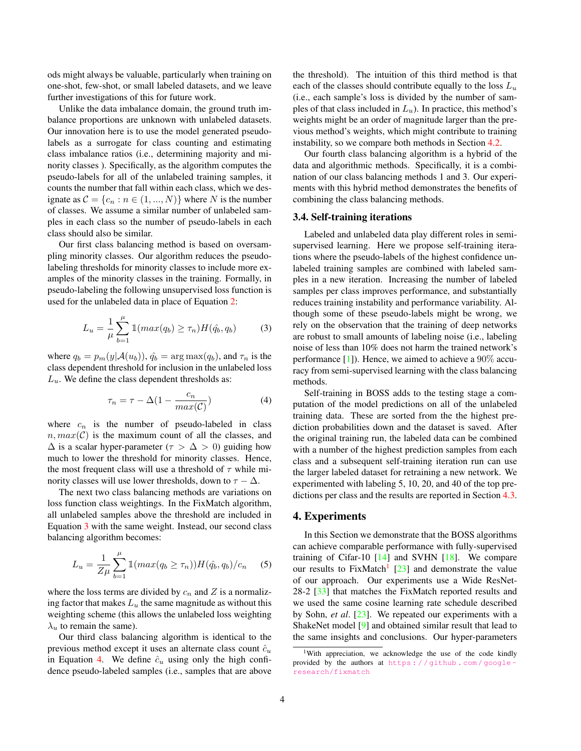<span id="page-3-4"></span>ods might always be valuable, particularly when training on one-shot, few-shot, or small labeled datasets, and we leave further investigations of this for future work.

Unlike the data imbalance domain, the ground truth imbalance proportions are unknown with unlabeled datasets. Our innovation here is to use the model generated pseudolabels as a surrogate for class counting and estimating class imbalance ratios (i.e., determining majority and minority classes ). Specifically, as the algorithm computes the pseudo-labels for all of the unlabeled training samples, it counts the number that fall within each class, which we designate as  $C = \{c_n : n \in (1, ..., N)\}\$  where N is the number of classes. We assume a similar number of unlabeled samples in each class so the number of pseudo-labels in each class should also be similar.

Our first class balancing method is based on oversampling minority classes. Our algorithm reduces the pseudolabeling thresholds for minority classes to include more examples of the minority classes in the training. Formally, in pseudo-labeling the following unsupervised loss function is used for the unlabeled data in place of Equation [2:](#page-2-0)

<span id="page-3-0"></span>
$$
L_u = \frac{1}{\mu} \sum_{b=1}^{\mu} \mathbb{1}(max(q_b) \ge \tau_n) H(\hat{q}_b, q_b)
$$
 (3)

where  $q_b = p_m(y|A(u_b))$ ,  $\hat{q}_b = \arg \max(q_b)$ , and  $\tau_n$  is the class dependent threshold for inclusion in the unlabeled loss  $L<sub>u</sub>$ . We define the class dependent thresholds as:

<span id="page-3-1"></span>
$$
\tau_n = \tau - \Delta \left( 1 - \frac{c_n}{\max(\mathcal{C})} \right) \tag{4}
$$

where  $c_n$  is the number of pseudo-labeled in class  $n, max(\mathcal{C})$  is the maximum count of all the classes, and  $\Delta$  is a scalar hyper-parameter ( $\tau > \Delta > 0$ ) guiding how much to lower the threshold for minority classes. Hence, the most frequent class will use a threshold of  $\tau$  while minority classes will use lower thresholds, down to  $\tau - \Delta$ .

The next two class balancing methods are variations on loss function class weightings. In the FixMatch algorithm, all unlabeled samples above the threshold are included in Equation [3](#page-3-0) with the same weight. Instead, our second class balancing algorithm becomes:

$$
L_u = \frac{1}{Z\mu} \sum_{b=1}^{\mu} \mathbb{1}(max(q_b \ge \tau_n)) H(\hat{q_b}, q_b) / c_n \quad (5)
$$

where the loss terms are divided by  $c_n$  and  $Z$  is a normalizing factor that makes  $L<sub>u</sub>$  the same magnitude as without this weighting scheme (this allows the unlabeled loss weighting  $\lambda$ <sub>u</sub> to remain the same).

Our third class balancing algorithm is identical to the previous method except it uses an alternate class count  $\hat{c}_u$ in Equation [4.](#page-3-1) We define  $\hat{c}_u$  using only the high confidence pseudo-labeled samples (i.e., samples that are above

the threshold). The intuition of this third method is that each of the classes should contribute equally to the loss  $L_u$ (i.e., each sample's loss is divided by the number of samples of that class included in  $L_u$ ). In practice, this method's weights might be an order of magnitude larger than the previous method's weights, which might contribute to training instability, so we compare both methods in Section [4.2.](#page-4-0)

Our fourth class balancing algorithm is a hybrid of the data and algorithmic methods. Specifically, it is a combination of our class balancing methods 1 and 3. Our experiments with this hybrid method demonstrates the benefits of combining the class balancing methods.

#### 3.4. Self-training iterations

Labeled and unlabeled data play different roles in semisupervised learning. Here we propose self-training iterations where the pseudo-labels of the highest confidence unlabeled training samples are combined with labeled samples in a new iteration. Increasing the number of labeled samples per class improves performance, and substantially reduces training instability and performance variability. Although some of these pseudo-labels might be wrong, we rely on the observation that the training of deep networks are robust to small amounts of labeling noise (i.e., labeling noise of less than 10% does not harm the trained network's performance [\[1\]](#page-8-19)). Hence, we aimed to achieve a 90% accuracy from semi-supervised learning with the class balancing methods.

Self-training in BOSS adds to the testing stage a computation of the model predictions on all of the unlabeled training data. These are sorted from the the highest prediction probabilities down and the dataset is saved. After the original training run, the labeled data can be combined with a number of the highest prediction samples from each class and a subsequent self-training iteration run can use the larger labeled dataset for retraining a new network. We experimented with labeling 5, 10, 20, and 40 of the top predictions per class and the results are reported in Section [4.3.](#page-5-0)

## <span id="page-3-3"></span>4. Experiments

In this Section we demonstrate that the BOSS algorithms can achieve comparable performance with fully-supervised training of Cifar-10  $[14]$  and SVHN  $[18]$ . We compare our results to  $FixMatch$ <sup>[1](#page-3-2)</sup> [\[23\]](#page-8-1) and demonstrate the value of our approach. Our experiments use a Wide ResNet-28-2 [\[33\]](#page-9-6) that matches the FixMatch reported results and we used the same cosine learning rate schedule described by Sohn, *et al*. [\[23\]](#page-8-1). We repeated our experiments with a ShakeNet model [\[9\]](#page-8-22) and obtained similar result that lead to the same insights and conclusions. Our hyper-parameters

<span id="page-3-2"></span><sup>&</sup>lt;sup>1</sup>With appreciation, we acknowledge the use of the code kindly provided by the authors at [https : / / github . com / google](https://github.com/google-research/fixmatch)  [research/fixmatch](https://github.com/google-research/fixmatch)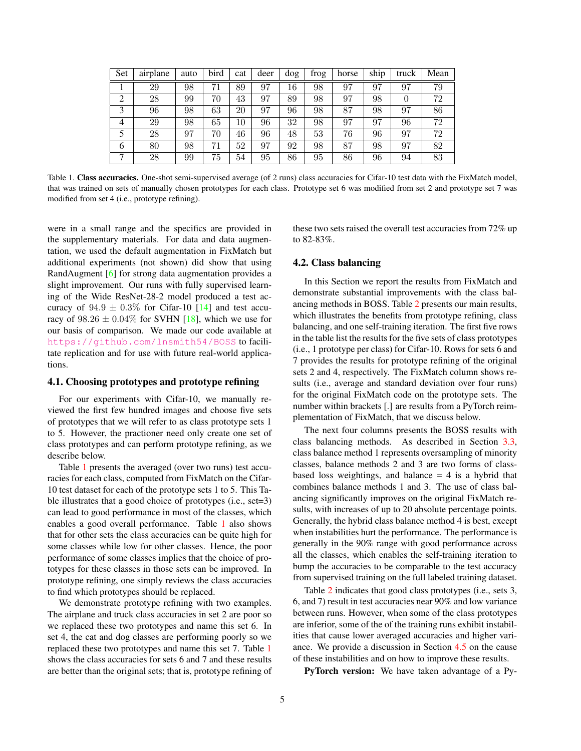<span id="page-4-2"></span>

| Set            | airplane | auto | bird | cat | deer | dog | frog | horse | ship | truck | Mean |
|----------------|----------|------|------|-----|------|-----|------|-------|------|-------|------|
|                | 29       | 98   | 71   | 89  | 97   | 16  | 98   | 97    | 97   | 97    | 79   |
| ◠              | 28       | 99   | 70   | 43  | 97   | 89  | 98   | 97    | 98   | 0     | 72   |
| 3              | 96       | 98   | 63   | 20  | 97   | 96  | 98   | 87    | 98   | 97    | 86   |
| $\overline{4}$ | 29       | 98   | 65   | 10  | 96   | 32  | 98   | 97    | 97   | 96    | 72   |
|                | 28       | 97   | 70   | 46  | 96   | 48  | 53   | 76    | 96   | 97    | 72   |
| 6              | 80       | 98   | 71   | 52  | 97   | 92  | 98   | 87    | 98   | 97    | 82   |
|                | 28       | 99   | 75   | 54  | 95   | 86  | 95   | 86    | 96   | 94    | 83   |

<span id="page-4-1"></span>Table 1. Class accuracies. One-shot semi-supervised average (of 2 runs) class accuracies for Cifar-10 test data with the FixMatch model, that was trained on sets of manually chosen prototypes for each class. Prototype set 6 was modified from set 2 and prototype set 7 was modified from set 4 (i.e., prototype refining).

were in a small range and the specifics are provided in the supplementary materials. For data and data augmentation, we used the default augmentation in FixMatch but additional experiments (not shown) did show that using RandAugment [\[6\]](#page-8-23) for strong data augmentation provides a slight improvement. Our runs with fully supervised learning of the Wide ResNet-28-2 model produced a test accuracy of  $94.9 \pm 0.3\%$  for Cifar-10 [\[14\]](#page-8-20) and test accuracy of  $98.26 \pm 0.04\%$  for SVHN [\[18\]](#page-8-21), which we use for our basis of comparison. We made our code available at <https://github.com/lnsmith54/BOSS> to facilitate replication and for use with future real-world applications.

#### 4.1. Choosing prototypes and prototype refining

For our experiments with Cifar-10, we manually reviewed the first few hundred images and choose five sets of prototypes that we will refer to as class prototype sets 1 to 5. However, the practioner need only create one set of class prototypes and can perform prototype refining, as we describe below.

Table [1](#page-4-1) presents the averaged (over two runs) test accuracies for each class, computed from FixMatch on the Cifar-10 test dataset for each of the prototype sets 1 to 5. This Table illustrates that a good choice of prototypes (i.e., set=3) can lead to good performance in most of the classes, which enables a good overall performance. Table [1](#page-4-1) also shows that for other sets the class accuracies can be quite high for some classes while low for other classes. Hence, the poor performance of some classes implies that the choice of prototypes for these classes in those sets can be improved. In prototype refining, one simply reviews the class accuracies to find which prototypes should be replaced.

We demonstrate prototype refining with two examples. The airplane and truck class accuracies in set 2 are poor so we replaced these two prototypes and name this set 6. In set 4, the cat and dog classes are performing poorly so we replaced these two prototypes and name this set 7. Table [1](#page-4-1) shows the class accuracies for sets 6 and 7 and these results are better than the original sets; that is, prototype refining of these two sets raised the overall test accuracies from 72% up to 82-83%.

#### <span id="page-4-0"></span>4.2. Class balancing

In this Section we report the results from FixMatch and demonstrate substantial improvements with the class balancing methods in BOSS. Table [2](#page-5-1) presents our main results, which illustrates the benefits from prototype refining, class balancing, and one self-training iteration. The first five rows in the table list the results for the five sets of class prototypes (i.e., 1 prototype per class) for Cifar-10. Rows for sets 6 and 7 provides the results for prototype refining of the original sets 2 and 4, respectively. The FixMatch column shows results (i.e., average and standard deviation over four runs) for the original FixMatch code on the prototype sets. The number within brackets [.] are results from a PyTorch reimplementation of FixMatch, that we discuss below.

The next four columns presents the BOSS results with class balancing methods. As described in Section [3.3,](#page-2-1) class balance method 1 represents oversampling of minority classes, balance methods 2 and 3 are two forms of classbased loss weightings, and balance  $= 4$  is a hybrid that combines balance methods 1 and 3. The use of class balancing significantly improves on the original FixMatch results, with increases of up to 20 absolute percentage points. Generally, the hybrid class balance method 4 is best, except when instabilities hurt the performance. The performance is generally in the 90% range with good performance across all the classes, which enables the self-training iteration to bump the accuracies to be comparable to the test accuracy from supervised training on the full labeled training dataset.

Table [2](#page-5-1) indicates that good class prototypes (i.e., sets 3, 6, and 7) result in test accuracies near 90% and low variance between runs. However, when some of the class prototypes are inferior, some of the of the training runs exhibit instabilities that cause lower averaged accuracies and higher variance. We provide a discussion in Section [4.5](#page-6-0) on the cause of these instabilities and on how to improve these results.

PyTorch version: We have taken advantage of a Py-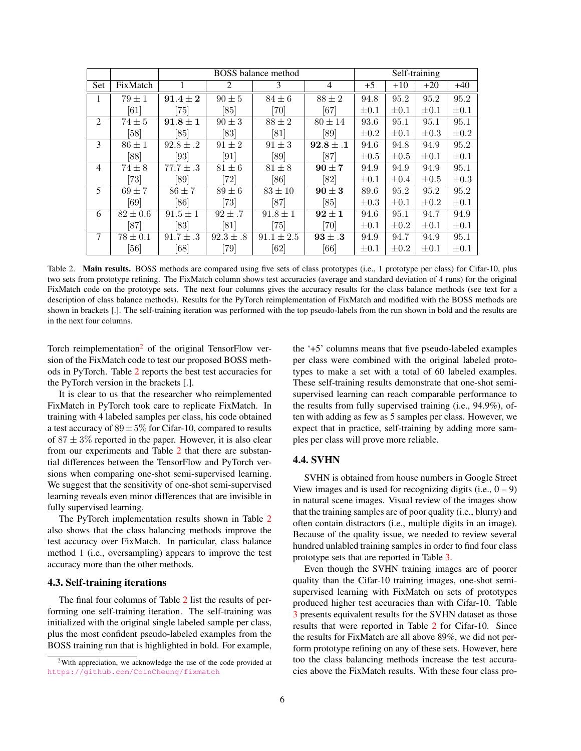|                |                              | <b>BOSS</b> balance method |                    |                    |                    |           |           | Self-training |           |
|----------------|------------------------------|----------------------------|--------------------|--------------------|--------------------|-----------|-----------|---------------|-----------|
| <b>Set</b>     | FixMatch                     |                            | 2                  | 3                  | $\overline{4}$     | $+5$      | $+10$     | $+20$         | $+40$     |
| 1              | $79\pm1$                     | $91.4 + 2$                 | $90 \pm 5$         | $84 \pm 6$         | $88\pm2$           | 94.8      | 95.2      | 95.2          | 95.2      |
|                | [61]                         | $\left[75\right]$          | [85]               | [70]               | $\left[ 67\right]$ | $\pm 0.1$ | $\pm 0.1$ | $\pm 0.1$     | $\pm 0.1$ |
| 2              | $74 \pm 5$                   | $91.8 \pm 1$               | $90 \pm 3$         | $88 \pm 2$         | $80\pm14$          | 93.6      | 95.1      | 95.1          | 95.1      |
|                | [58]                         | [85]                       | [83]               | [81]               | [89]               | $\pm 0.2$ | $\pm 0.1$ | $\pm 0.3$     | $\pm 0.2$ |
| 3              | $86 \pm 1$                   | $92.8 \pm .2$              | $91 \pm 2$         | $91 \pm 3$         | $92.8 \pm .1$      | 94.6      | 94.8      | 94.9          | 95.2      |
|                | [88]                         | [93]                       | [91]               | [89]               | [87]               | $\pm 0.5$ | $\pm 0.5$ | $\pm 0.1$     | $\pm 0.1$ |
| $\overline{4}$ | $74\pm8$                     | $77.7 \pm .3$              | $81 \pm 6$         | $81 \pm 8$         | $90 \pm 7$         | 94.9      | 94.9      | 94.9          | 95.1      |
|                | $\left\lceil 73\right\rceil$ | [89]                       | 72                 | [86]               | [82]               | $\pm 0.1$ | $\pm 0.4$ | $\pm 0.5$     | $\pm 0.3$ |
| 5              | $69 \pm 7$                   | $86 \pm 7$                 | $89 \pm 6$         | $83 \pm 10$        | $90 \pm 3$         | 89.6      | 95.2      | 95.2          | 95.2      |
|                | [69]                         | [86]                       | $\left[ 73\right]$ | [87]               | [85]               | $\pm 0.3$ | $\pm 0.1$ | $\pm 0.2$     | $\pm 0.1$ |
| 6              | $82 \pm 0.6$                 | $91.5 \pm 1$               | $92 \pm .7$        | $91.8 \pm 1$       | $92 \pm 1$         | 94.6      | 95.1      | 94.7          | 94.9      |
|                | $\left[87\right]$            | [83]                       | [81]               | 75]                | 70                 | $\pm 0.1$ | $\pm 0.2$ | $\pm 0.1$     | $\pm 0.1$ |
| $\tau$         | $78 \pm 0.1$                 | $91.7 \pm .3$              | $92.3 \pm .8$      | $91.1 \pm 2.5$     | $93 \pm .3$        | 94.9      | 94.7      | 94.9          | 95.1      |
|                | [56]                         | [68]                       | 79]                | $\left[ 62\right]$ | [66]               | $\pm 0.1$ | $\pm 0.2$ | $\pm 0.1$     | $\pm 0.1$ |

<span id="page-5-1"></span>Table 2. Main results. BOSS methods are compared using five sets of class prototypes (i.e., 1 prototype per class) for Cifar-10, plus two sets from prototype refining. The FixMatch column shows test accuracies (average and standard deviation of 4 runs) for the original FixMatch code on the prototype sets. The next four columns gives the accuracy results for the class balance methods (see text for a description of class balance methods). Results for the PyTorch reimplementation of FixMatch and modified with the BOSS methods are shown in brackets [.]. The self-training iteration was performed with the top pseudo-labels from the run shown in bold and the results are in the next four columns.

Torch reimplementation<sup>[2](#page-5-2)</sup> of the original TensorFlow version of the FixMatch code to test our proposed BOSS methods in PyTorch. Table [2](#page-5-1) reports the best test accuracies for the PyTorch version in the brackets [.].

It is clear to us that the researcher who reimplemented FixMatch in PyTorch took care to replicate FixMatch. In training with 4 labeled samples per class, his code obtained a test accuracy of  $89 \pm 5\%$  for Cifar-10, compared to results of  $87 \pm 3\%$  reported in the paper. However, it is also clear from our experiments and Table [2](#page-5-1) that there are substantial differences between the TensorFlow and PyTorch versions when comparing one-shot semi-supervised learning. We suggest that the sensitivity of one-shot semi-supervised learning reveals even minor differences that are invisible in fully supervised learning.

The PyTorch implementation results shown in Table [2](#page-5-1) also shows that the class balancing methods improve the test accuracy over FixMatch. In particular, class balance method 1 (i.e., oversampling) appears to improve the test accuracy more than the other methods.

#### <span id="page-5-0"></span>4.3. Self-training iterations

The final four columns of Table [2](#page-5-1) list the results of performing one self-training iteration. The self-training was initialized with the original single labeled sample per class, plus the most confident pseudo-labeled examples from the BOSS training run that is highlighted in bold. For example,

the '+5' columns means that five pseudo-labeled examples per class were combined with the original labeled prototypes to make a set with a total of 60 labeled examples. These self-training results demonstrate that one-shot semisupervised learning can reach comparable performance to the results from fully supervised training (i.e., 94.9%), often with adding as few as 5 samples per class. However, we expect that in practice, self-training by adding more samples per class will prove more reliable.

## 4.4. SVHN

SVHN is obtained from house numbers in Google Street View images and is used for recognizing digits (i.e.,  $0 - 9$ ) in natural scene images. Visual review of the images show that the training samples are of poor quality (i.e., blurry) and often contain distractors (i.e., multiple digits in an image). Because of the quality issue, we needed to review several hundred unlabled training samples in order to find four class prototype sets that are reported in Table [3.](#page-6-1)

Even though the SVHN training images are of poorer quality than the Cifar-10 training images, one-shot semisupervised learning with FixMatch on sets of prototypes produced higher test accuracies than with Cifar-10. Table [3](#page-6-1) presents equivalent results for the SVHN dataset as those results that were reported in Table [2](#page-5-1) for Cifar-10. Since the results for FixMatch are all above 89%, we did not perform prototype refining on any of these sets. However, here too the class balancing methods increase the test accuracies above the FixMatch results. With these four class pro-

<span id="page-5-2"></span><sup>2</sup>With appreciation, we acknowledge the use of the code provided at <https://github.com/CoinCheung/fixmatch>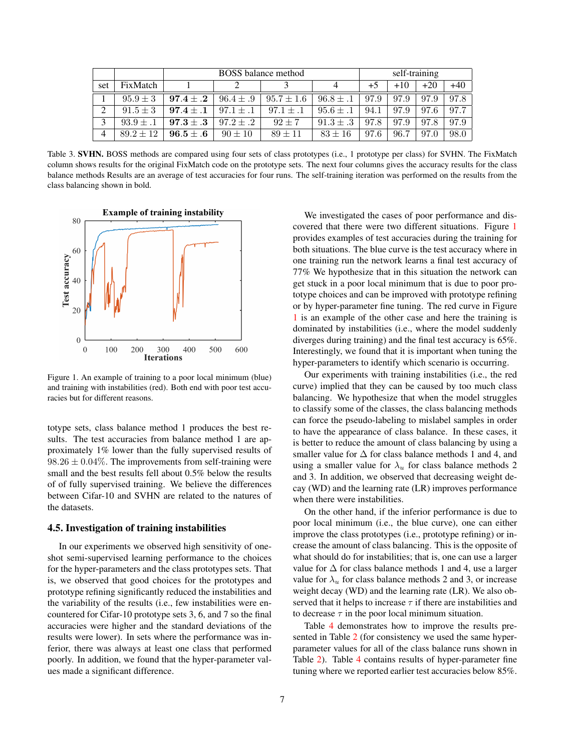|           |               |               | self-training |                |               |      |       |       |       |
|-----------|---------------|---------------|---------------|----------------|---------------|------|-------|-------|-------|
| set       | FixMatch      |               |               |                |               | $+5$ | $+10$ | $+20$ | $+40$ |
|           | $95.9 \pm 3$  | $97.4 \pm .2$ | $96.4 \pm .9$ | $95.7 \pm 1.6$ | $96.8 \pm .1$ | 97.9 | 97.9  | 97.9  | 97.8  |
| $\bigcap$ | $91.5 \pm 3$  | $97.4 \pm .1$ | $97.1 \pm .1$ | $97.1 \pm .1$  | $95.6 \pm .1$ | 94.1 | 97.9  | 97.6  | 97.7  |
| 3         | $93.9 \pm .1$ | $97.3 \pm .3$ | $97.2 \pm .2$ | $92 + 7$       | $91.3 \pm .3$ | 97.8 | 97.9  | 97.8  | 97.9  |
| 4         | $89.2 \pm 12$ | $96.5 \pm .6$ | $90 \pm 10$   | $89 + 11$      | $83 + 16$     | 97.6 | 96.7  | 97.0  | 98.0  |

<span id="page-6-1"></span>Table 3. SVHN. BOSS methods are compared using four sets of class prototypes (i.e., 1 prototype per class) for SVHN. The FixMatch column shows results for the original FixMatch code on the prototype sets. The next four columns gives the accuracy results for the class balance methods Results are an average of test accuracies for four runs. The self-training iteration was performed on the results from the class balancing shown in bold.



<span id="page-6-2"></span>Figure 1. An example of training to a poor local minimum (blue) and training with instabilities (red). Both end with poor test accuracies but for different reasons.

totype sets, class balance method 1 produces the best results. The test accuracies from balance method 1 are approximately 1% lower than the fully supervised results of  $98.26 \pm 0.04\%$ . The improvements from self-training were small and the best results fell about 0.5% below the results of of fully supervised training. We believe the differences between Cifar-10 and SVHN are related to the natures of the datasets.

#### <span id="page-6-0"></span>4.5. Investigation of training instabilities

In our experiments we observed high sensitivity of oneshot semi-supervised learning performance to the choices for the hyper-parameters and the class prototypes sets. That is, we observed that good choices for the prototypes and prototype refining significantly reduced the instabilities and the variability of the results (i.e., few instabilities were encountered for Cifar-10 prototype sets 3, 6, and 7 so the final accuracies were higher and the standard deviations of the results were lower). In sets where the performance was inferior, there was always at least one class that performed poorly. In addition, we found that the hyper-parameter values made a significant difference.

We investigated the cases of poor performance and discovered that there were two different situations. Figure [1](#page-6-2) provides examples of test accuracies during the training for both situations. The blue curve is the test accuracy where in one training run the network learns a final test accuracy of 77% We hypothesize that in this situation the network can get stuck in a poor local minimum that is due to poor prototype choices and can be improved with prototype refining or by hyper-parameter fine tuning. The red curve in Figure [1](#page-6-2) is an example of the other case and here the training is dominated by instabilities (i.e., where the model suddenly diverges during training) and the final test accuracy is 65%. Interestingly, we found that it is important when tuning the hyper-parameters to identify which scenario is occurring.

Our experiments with training instabilities (i.e., the red curve) implied that they can be caused by too much class balancing. We hypothesize that when the model struggles to classify some of the classes, the class balancing methods can force the pseudo-labeling to mislabel samples in order to have the appearance of class balance. In these cases, it is better to reduce the amount of class balancing by using a smaller value for  $\Delta$  for class balance methods 1 and 4, and using a smaller value for  $\lambda_u$  for class balance methods 2 and 3. In addition, we observed that decreasing weight decay (WD) and the learning rate (LR) improves performance when there were instabilities.

On the other hand, if the inferior performance is due to poor local minimum (i.e., the blue curve), one can either improve the class prototypes (i.e., prototype refining) or increase the amount of class balancing. This is the opposite of what should do for instabilities; that is, one can use a larger value for  $\Delta$  for class balance methods 1 and 4, use a larger value for  $\lambda_u$  for class balance methods 2 and 3, or increase weight decay (WD) and the learning rate (LR). We also observed that it helps to increase  $\tau$  if there are instabilities and to decrease  $\tau$  in the poor local minimum situation.

Table [4](#page-7-0) demonstrates how to improve the results presented in Table [2](#page-5-1) (for consistency we used the same hyperparameter values for all of the class balance runs shown in Table [2\)](#page-5-1). Table [4](#page-7-0) contains results of hyper-parameter fine tuning where we reported earlier test accuracies below 85%.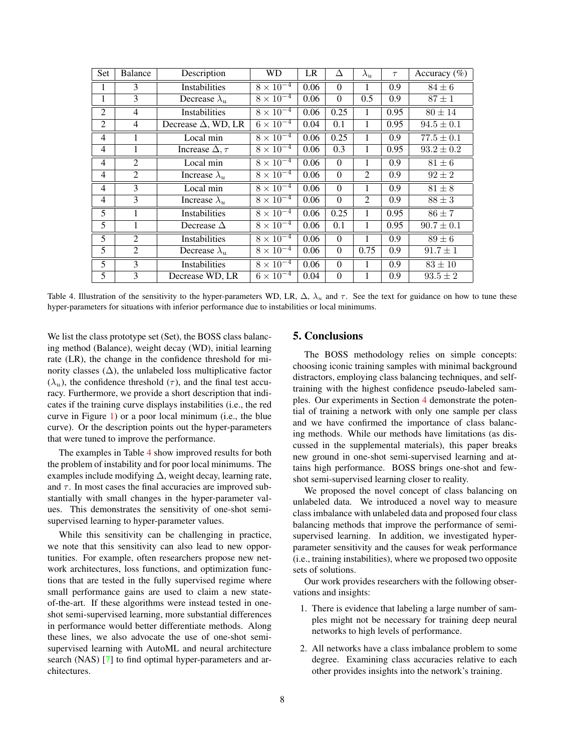<span id="page-7-1"></span>

| Set            | <b>Balance</b> | Description                | WD                            | LR   | Δ            | $\lambda_u$    | $\tau$           | Accuracy $(\%)$ |
|----------------|----------------|----------------------------|-------------------------------|------|--------------|----------------|------------------|-----------------|
| 1              | 3              | Instabilities              | $8 \times 10^{-4}$            | 0.06 | $\Omega$     | 1              | 0.9              | $84 \pm 6$      |
| 1              | 3              | Decrease $\lambda_u$       | $8 \times 10^{-4}$            | 0.06 | $\Omega$     | 0.5            | 0.9              | $87 \pm 1$      |
| $\overline{2}$ | $\overline{4}$ | <b>Instabilities</b>       | $8 \times 10^{-4}$            | 0.06 | 0.25         | 1              | 0.95             | $80 \pm 14$     |
| $\overline{2}$ | $\overline{4}$ | Decrease $\Delta$ , WD, LR | $6 \times 10^{-4}$            | 0.04 | 0.1          | 1              | 0.95             | $94.5 \pm 0.1$  |
| $\overline{4}$ | 1              | Local min                  | $8 \times 10^{-4}$            | 0.06 | 0.25         | 1              | $\overline{0.9}$ | $77.5 \pm 0.1$  |
| $\overline{4}$ | 1              | Increase $\Delta, \tau$    | $8 \times 10^{-4}$            | 0.06 | 0.3          | 1              | 0.95             | $93.2 \pm 0.2$  |
| $\overline{4}$ | $\overline{2}$ | Local min                  | $8 \times 10^{-4}$            | 0.06 | $\Omega$     | 1              | 0.9              | $81 \pm 6$      |
| $\overline{4}$ | $\overline{2}$ | Increase $\lambda_u$       | $8 \times \overline{10^{-4}}$ | 0.06 | $\mathbf{0}$ | $\overline{2}$ | 0.9              | $92 \pm 2$      |
| $\overline{4}$ | 3              | Local min                  | $8 \times 10^{-4}$            | 0.06 | $\Omega$     | 1              | 0.9              | $81 \pm 8$      |
| $\overline{4}$ | 3              | Increase $\lambda_u$       | $8 \times 10^{-4}$            | 0.06 | $\Omega$     | 2              | 0.9              | $88\pm3$        |
| 5              | $\mathbf{1}$   | <b>Instabilities</b>       | $8 \times 10^{-4}$            | 0.06 | 0.25         | $\mathbf{1}$   | 0.95             | $86 \pm 7$      |
| 5              | 1              | Decrease $\Delta$          | $8 \times 10^{-4}$            | 0.06 | 0.1          | 1              | 0.95             | $90.7 \pm 0.1$  |
| $\overline{5}$ | $\overline{2}$ | Instabilities              | $8 \times 10^{-4}$            | 0.06 | $\Omega$     | 1              | 0.9              | $89 \pm 6$      |
| 5              | $\overline{2}$ | Decrease $\lambda_u$       | $8 \times 10^{-4}$            | 0.06 | $\Omega$     | 0.75           | 0.9              | $91.7 \pm 1$    |
| 5              | 3              | <b>Instabilities</b>       | $8 \times 10^{-4}$            | 0.06 | $\Omega$     | 1              | 0.9              | $83 \pm 10$     |
| $\overline{5}$ | 3              | Decrease WD, LR            | $6 \times \overline{10^{-4}}$ | 0.04 | $\mathbf{0}$ |                | 0.9              | $93.5 \pm 2$    |

<span id="page-7-0"></span>Table 4. Illustration of the sensitivity to the hyper-parameters WD, LR,  $\Delta$ ,  $\lambda_u$  and  $\tau$ . See the text for guidance on how to tune these hyper-parameters for situations with inferior performance due to instabilities or local minimums.

We list the class prototype set (Set), the BOSS class balancing method (Balance), weight decay (WD), initial learning rate (LR), the change in the confidence threshold for minority classes  $(\Delta)$ , the unlabeled loss multiplicative factor  $(\lambda_u)$ , the confidence threshold  $(\tau)$ , and the final test accuracy. Furthermore, we provide a short description that indicates if the training curve displays instabilities (i.e., the red curve in Figure [1\)](#page-6-2) or a poor local minimum (i.e., the blue curve). Or the description points out the hyper-parameters that were tuned to improve the performance.

The examples in Table [4](#page-7-0) show improved results for both the problem of instability and for poor local minimums. The examples include modifying ∆, weight decay, learning rate, and  $\tau$ . In most cases the final accuracies are improved substantially with small changes in the hyper-parameter values. This demonstrates the sensitivity of one-shot semisupervised learning to hyper-parameter values.

While this sensitivity can be challenging in practice, we note that this sensitivity can also lead to new opportunities. For example, often researchers propose new network architectures, loss functions, and optimization functions that are tested in the fully supervised regime where small performance gains are used to claim a new stateof-the-art. If these algorithms were instead tested in oneshot semi-supervised learning, more substantial differences in performance would better differentiate methods. Along these lines, we also advocate the use of one-shot semisupervised learning with AutoML and neural architecture search (NAS) [\[7\]](#page-8-24) to find optimal hyper-parameters and architectures.

## 5. Conclusions

The BOSS methodology relies on simple concepts: choosing iconic training samples with minimal background distractors, employing class balancing techniques, and selftraining with the highest confidence pseudo-labeled samples. Our experiments in Section [4](#page-3-3) demonstrate the potential of training a network with only one sample per class and we have confirmed the importance of class balancing methods. While our methods have limitations (as discussed in the supplemental materials), this paper breaks new ground in one-shot semi-supervised learning and attains high performance. BOSS brings one-shot and fewshot semi-supervised learning closer to reality.

We proposed the novel concept of class balancing on unlabeled data. We introduced a novel way to measure class imbalance with unlabeled data and proposed four class balancing methods that improve the performance of semisupervised learning. In addition, we investigated hyperparameter sensitivity and the causes for weak performance (i.e., training instabilities), where we proposed two opposite sets of solutions.

Our work provides researchers with the following observations and insights:

- 1. There is evidence that labeling a large number of samples might not be necessary for training deep neural networks to high levels of performance.
- 2. All networks have a class imbalance problem to some degree. Examining class accuracies relative to each other provides insights into the network's training.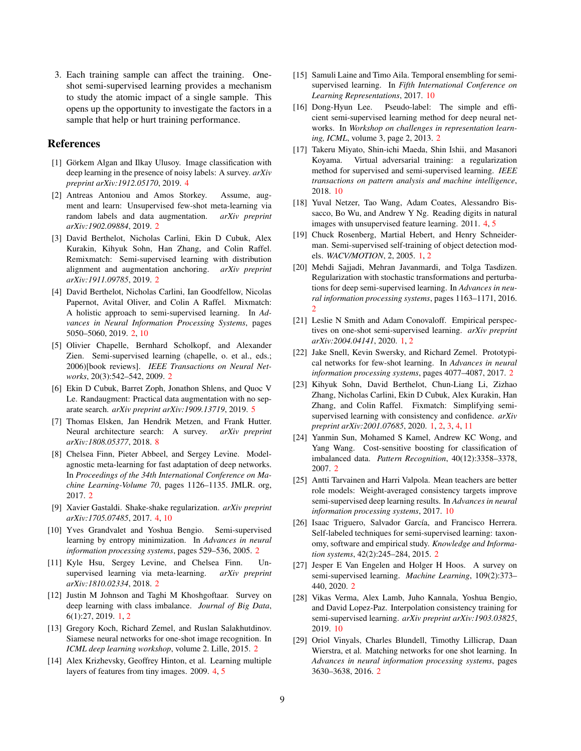3. Each training sample can affect the training. Oneshot semi-supervised learning provides a mechanism to study the atomic impact of a single sample. This opens up the opportunity to investigate the factors in a sample that help or hurt training performance.

#### References

- <span id="page-8-19"></span>[1] Görkem Algan and Ilkay Ulusoy. Image classification with deep learning in the presence of noisy labels: A survey. *arXiv preprint arXiv:1912.05170*, 2019. [4](#page-3-4)
- <span id="page-8-18"></span>[2] Antreas Antoniou and Amos Storkey. Assume, augment and learn: Unsupervised few-shot meta-learning via random labels and data augmentation. *arXiv preprint arXiv:1902.09884*, 2019. [2](#page-1-0)
- <span id="page-8-7"></span>[3] David Berthelot, Nicholas Carlini, Ekin D Cubuk, Alex Kurakin, Kihyuk Sohn, Han Zhang, and Colin Raffel. Remixmatch: Semi-supervised learning with distribution alignment and augmentation anchoring. *arXiv preprint arXiv:1911.09785*, 2019. [2](#page-1-0)
- <span id="page-8-6"></span>[4] David Berthelot, Nicholas Carlini, Ian Goodfellow, Nicolas Papernot, Avital Oliver, and Colin A Raffel. Mixmatch: A holistic approach to semi-supervised learning. In *Advances in Neural Information Processing Systems*, pages 5050–5060, 2019. [2,](#page-1-0) [10](#page-9-7)
- <span id="page-8-5"></span>[5] Olivier Chapelle, Bernhard Scholkopf, and Alexander Zien. Semi-supervised learning (chapelle, o. et al., eds.; 2006)[book reviews]. *IEEE Transactions on Neural Networks*, 20(3):542–542, 2009. [2](#page-1-0)
- <span id="page-8-23"></span>[6] Ekin D Cubuk, Barret Zoph, Jonathon Shlens, and Quoc V Le. Randaugment: Practical data augmentation with no separate search. *arXiv preprint arXiv:1909.13719*, 2019. [5](#page-4-2)
- <span id="page-8-24"></span>[7] Thomas Elsken, Jan Hendrik Metzen, and Frank Hutter. Neural architecture search: A survey. *arXiv preprint arXiv:1808.05377*, 2018. [8](#page-7-1)
- <span id="page-8-15"></span>[8] Chelsea Finn, Pieter Abbeel, and Sergey Levine. Modelagnostic meta-learning for fast adaptation of deep networks. In *Proceedings of the 34th International Conference on Machine Learning-Volume 70*, pages 1126–1135. JMLR. org, 2017. [2](#page-1-0)
- <span id="page-8-22"></span>[9] Xavier Gastaldi. Shake-shake regularization. *arXiv preprint arXiv:1705.07485*, 2017. [4,](#page-3-4) [10](#page-9-7)
- <span id="page-8-9"></span>[10] Yves Grandvalet and Yoshua Bengio. Semi-supervised learning by entropy minimization. In *Advances in neural information processing systems*, pages 529–536, 2005. [2](#page-1-0)
- <span id="page-8-17"></span>[11] Kyle Hsu, Sergey Levine, and Chelsea Finn. Unsupervised learning via meta-learning. *arXiv preprint arXiv:1810.02334*, 2018. [2](#page-1-0)
- <span id="page-8-2"></span>[12] Justin M Johnson and Taghi M Khoshgoftaar. Survey on deep learning with class imbalance. *Journal of Big Data*, 6(1):27, 2019. [1,](#page-0-0) [2](#page-1-0)
- <span id="page-8-13"></span>[13] Gregory Koch, Richard Zemel, and Ruslan Salakhutdinov. Siamese neural networks for one-shot image recognition. In *ICML deep learning workshop*, volume 2. Lille, 2015. [2](#page-1-0)
- <span id="page-8-20"></span>[14] Alex Krizhevsky, Geoffrey Hinton, et al. Learning multiple layers of features from tiny images. 2009. [4,](#page-3-4) [5](#page-4-2)
- <span id="page-8-25"></span>[15] Samuli Laine and Timo Aila. Temporal ensembling for semisupervised learning. In *Fifth International Conference on Learning Representations*, 2017. [10](#page-9-7)
- <span id="page-8-10"></span>[16] Dong-Hyun Lee. Pseudo-label: The simple and efficient semi-supervised learning method for deep neural networks. In *Workshop on challenges in representation learning, ICML*, volume 3, page 2, 2013. [2](#page-1-0)
- <span id="page-8-26"></span>[17] Takeru Miyato, Shin-ichi Maeda, Shin Ishii, and Masanori Koyama. Virtual adversarial training: a regularization method for supervised and semi-supervised learning. *IEEE transactions on pattern analysis and machine intelligence*, 2018. [10](#page-9-7)
- <span id="page-8-21"></span>[18] Yuval Netzer, Tao Wang, Adam Coates, Alessandro Bissacco, Bo Wu, and Andrew Y Ng. Reading digits in natural images with unsupervised feature learning. 2011. [4,](#page-3-4) [5](#page-4-2)
- <span id="page-8-3"></span>[19] Chuck Rosenberg, Martial Hebert, and Henry Schneiderman. Semi-supervised self-training of object detection models. *WACV/MOTION*, 2, 2005. [1,](#page-0-0) [2](#page-1-0)
- <span id="page-8-8"></span>[20] Mehdi Sajjadi, Mehran Javanmardi, and Tolga Tasdizen. Regularization with stochastic transformations and perturbations for deep semi-supervised learning. In *Advances in neural information processing systems*, pages 1163–1171, 2016.  $\mathcal{D}$
- <span id="page-8-0"></span>[21] Leslie N Smith and Adam Conovaloff. Empirical perspectives on one-shot semi-supervised learning. *arXiv preprint arXiv:2004.04141*, 2020. [1,](#page-0-0) [2](#page-1-0)
- <span id="page-8-16"></span>[22] Jake Snell, Kevin Swersky, and Richard Zemel. Prototypical networks for few-shot learning. In *Advances in neural information processing systems*, pages 4077–4087, 2017. [2](#page-1-0)
- <span id="page-8-1"></span>[23] Kihyuk Sohn, David Berthelot, Chun-Liang Li, Zizhao Zhang, Nicholas Carlini, Ekin D Cubuk, Alex Kurakin, Han Zhang, and Colin Raffel. Fixmatch: Simplifying semisupervised learning with consistency and confidence. *arXiv preprint arXiv:2001.07685*, 2020. [1,](#page-0-0) [2,](#page-1-0) [3,](#page-2-2) [4,](#page-3-4) [11](#page-10-0)
- <span id="page-8-12"></span>[24] Yanmin Sun, Mohamed S Kamel, Andrew KC Wong, and Yang Wang. Cost-sensitive boosting for classification of imbalanced data. *Pattern Recognition*, 40(12):3358–3378, 2007. [2](#page-1-0)
- <span id="page-8-28"></span>[25] Antti Tarvainen and Harri Valpola. Mean teachers are better role models: Weight-averaged consistency targets improve semi-supervised deep learning results. In *Advances in neural information processing systems*, 2017. [10](#page-9-7)
- <span id="page-8-11"></span>[26] Isaac Triguero, Salvador García, and Francisco Herrera. Self-labeled techniques for semi-supervised learning: taxonomy, software and empirical study. *Knowledge and Information systems*, 42(2):245–284, 2015. [2](#page-1-0)
- <span id="page-8-4"></span>[27] Jesper E Van Engelen and Holger H Hoos. A survey on semi-supervised learning. *Machine Learning*, 109(2):373– 440, 2020. [2](#page-1-0)
- <span id="page-8-27"></span>[28] Vikas Verma, Alex Lamb, Juho Kannala, Yoshua Bengio, and David Lopez-Paz. Interpolation consistency training for semi-supervised learning. *arXiv preprint arXiv:1903.03825*, 2019. [10](#page-9-7)
- <span id="page-8-14"></span>[29] Oriol Vinyals, Charles Blundell, Timothy Lillicrap, Daan Wierstra, et al. Matching networks for one shot learning. In *Advances in neural information processing systems*, pages 3630–3638, 2016. [2](#page-1-0)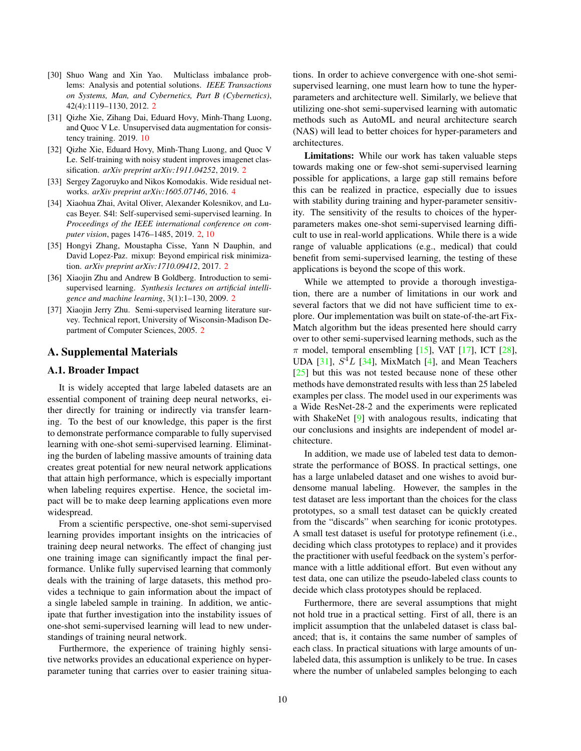- <span id="page-9-7"></span><span id="page-9-5"></span>[30] Shuo Wang and Xin Yao. Multiclass imbalance problems: Analysis and potential solutions. *IEEE Transactions on Systems, Man, and Cybernetics, Part B (Cybernetics)*, 42(4):1119–1130, 2012. [2](#page-1-0)
- <span id="page-9-8"></span>[31] Qizhe Xie, Zihang Dai, Eduard Hovy, Minh-Thang Luong, and Quoc V Le. Unsupervised data augmentation for consistency training. 2019. [10](#page-9-7)
- <span id="page-9-4"></span>[32] Qizhe Xie, Eduard Hovy, Minh-Thang Luong, and Quoc V Le. Self-training with noisy student improves imagenet classification. *arXiv preprint arXiv:1911.04252*, 2019. [2](#page-1-0)
- <span id="page-9-6"></span>[33] Sergey Zagoruyko and Nikos Komodakis. Wide residual networks. *arXiv preprint arXiv:1605.07146*, 2016. [4](#page-3-4)
- <span id="page-9-3"></span>[34] Xiaohua Zhai, Avital Oliver, Alexander Kolesnikov, and Lucas Beyer. S4l: Self-supervised semi-supervised learning. In *Proceedings of the IEEE international conference on computer vision*, pages 1476–1485, 2019. [2,](#page-1-0) [10](#page-9-7)
- <span id="page-9-2"></span>[35] Hongyi Zhang, Moustapha Cisse, Yann N Dauphin, and David Lopez-Paz. mixup: Beyond empirical risk minimization. *arXiv preprint arXiv:1710.09412*, 2017. [2](#page-1-0)
- <span id="page-9-1"></span>[36] Xiaojin Zhu and Andrew B Goldberg. Introduction to semisupervised learning. *Synthesis lectures on artificial intelligence and machine learning*, 3(1):1–130, 2009. [2](#page-1-0)
- <span id="page-9-0"></span>[37] Xiaojin Jerry Zhu. Semi-supervised learning literature survey. Technical report, University of Wisconsin-Madison Department of Computer Sciences, 2005. [2](#page-1-0)

### A. Supplemental Materials

## A.1. Broader Impact

It is widely accepted that large labeled datasets are an essential component of training deep neural networks, either directly for training or indirectly via transfer learning. To the best of our knowledge, this paper is the first to demonstrate performance comparable to fully supervised learning with one-shot semi-supervised learning. Eliminating the burden of labeling massive amounts of training data creates great potential for new neural network applications that attain high performance, which is especially important when labeling requires expertise. Hence, the societal impact will be to make deep learning applications even more widespread.

From a scientific perspective, one-shot semi-supervised learning provides important insights on the intricacies of training deep neural networks. The effect of changing just one training image can significantly impact the final performance. Unlike fully supervised learning that commonly deals with the training of large datasets, this method provides a technique to gain information about the impact of a single labeled sample in training. In addition, we anticipate that further investigation into the instability issues of one-shot semi-supervised learning will lead to new understandings of training neural network.

Furthermore, the experience of training highly sensitive networks provides an educational experience on hyperparameter tuning that carries over to easier training situations. In order to achieve convergence with one-shot semisupervised learning, one must learn how to tune the hyperparameters and architecture well. Similarly, we believe that utilizing one-shot semi-supervised learning with automatic methods such as AutoML and neural architecture search (NAS) will lead to better choices for hyper-parameters and architectures.

Limitations: While our work has taken valuable steps towards making one or few-shot semi-supervised learning possible for applications, a large gap still remains before this can be realized in practice, especially due to issues with stability during training and hyper-parameter sensitivity. The sensitivity of the results to choices of the hyperparameters makes one-shot semi-supervised learning difficult to use in real-world applications. While there is a wide range of valuable applications (e.g., medical) that could benefit from semi-supervised learning, the testing of these applications is beyond the scope of this work.

While we attempted to provide a thorough investigation, there are a number of limitations in our work and several factors that we did not have sufficient time to explore. Our implementation was built on state-of-the-art Fix-Match algorithm but the ideas presented here should carry over to other semi-supervised learning methods, such as the  $\pi$  model, temporal ensembling [\[15\]](#page-8-25), VAT [\[17\]](#page-8-26), ICT [\[28\]](#page-8-27), UDA  $[31]$ ,  $S<sup>4</sup>L$   $[34]$ , MixMatch  $[4]$ , and Mean Teachers [\[25\]](#page-8-28) but this was not tested because none of these other methods have demonstrated results with less than 25 labeled examples per class. The model used in our experiments was a Wide ResNet-28-2 and the experiments were replicated with ShakeNet [\[9\]](#page-8-22) with analogous results, indicating that our conclusions and insights are independent of model architecture.

In addition, we made use of labeled test data to demonstrate the performance of BOSS. In practical settings, one has a large unlabeled dataset and one wishes to avoid burdensome manual labeling. However, the samples in the test dataset are less important than the choices for the class prototypes, so a small test dataset can be quickly created from the "discards" when searching for iconic prototypes. A small test dataset is useful for prototype refinement (i.e., deciding which class prototypes to replace) and it provides the practitioner with useful feedback on the system's performance with a little additional effort. But even without any test data, one can utilize the pseudo-labeled class counts to decide which class prototypes should be replaced.

Furthermore, there are several assumptions that might not hold true in a practical setting. First of all, there is an implicit assumption that the unlabeled dataset is class balanced; that is, it contains the same number of samples of each class. In practical situations with large amounts of unlabeled data, this assumption is unlikely to be true. In cases where the number of unlabeled samples belonging to each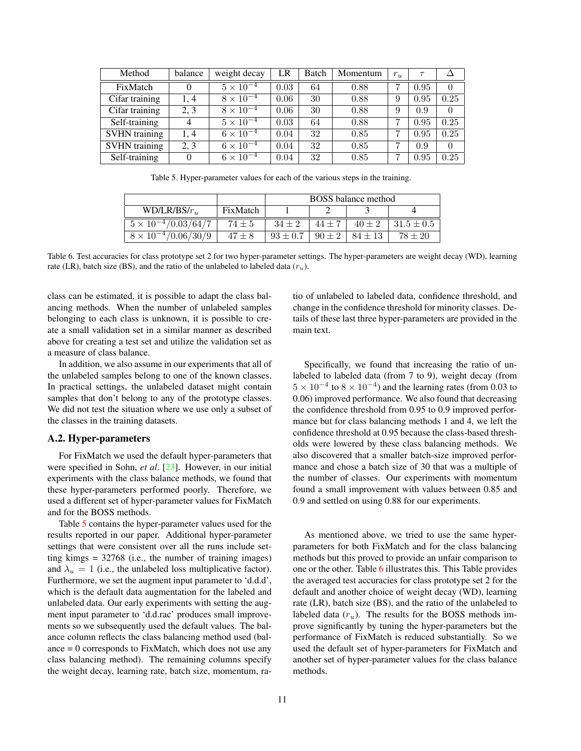<span id="page-10-0"></span>

| Method               | balance | weight decay       | LR   | Batch | Momentum | $r_u$ | $\tau$ |          |
|----------------------|---------|--------------------|------|-------|----------|-------|--------|----------|
| FixMatch             | 0       | $5 \times 10^{-4}$ | 0.03 | 64    | 0.88     |       | 0.95   | $\theta$ |
| Cifar training       | 1.4     | $8 \times 10^{-4}$ | 0.06 | 30    | 0.88     | 9     | 0.95   | 0.25     |
| Cifar training       | 2, 3    | $8 \times 10^{-4}$ | 0.06 | 30    | 0.88     | 9     | 0.9    | $\Omega$ |
| Self-training        | 4       | $5 \times 10^{-4}$ | 0.03 | 64    | 0.88     | ד     | 0.95   | 0.25     |
| <b>SVHN</b> training | 1, 4    | $6 \times 10^{-4}$ | 0.04 | 32    | 0.85     |       | 0.95   | 0.25     |
| <b>SVHN</b> training | 2, 3    | $6 \times 10^{-4}$ | 0.04 | 32    | 0.85     | 7     | 0.9    | $\theta$ |
| Self-training        | 0       | $6 \times 10^{-4}$ | 0.04 | 32    | 0.85     |       | 0.95   | 0.25     |

<span id="page-10-1"></span>Table 5. Hyper-parameter values for each of the various steps in the training.

|                                  | <b>BOSS</b> balance method |              |            |             |                |  |
|----------------------------------|----------------------------|--------------|------------|-------------|----------------|--|
| $WD/LR/BS/r_{\text{w}}$          | FixMatch                   |              |            |             |                |  |
| $5 \times 10^{-4}/0.03/64/7$     | $74 \pm 5$                 | $34 \pm 2$   | 44 +       | $40 + 2$    | $31.5 \pm 0.5$ |  |
| /0.06/30/9<br>$8 \times 10^{-4}$ | $47 \pm 8$                 | $93 \pm 0.7$ | $90 \pm 2$ | $84 \pm 13$ | $78 \pm 20$    |  |

<span id="page-10-2"></span>Table 6. Test accuracies for class prototype set 2 for two hyper-parameter settings. The hyper-parameters are weight decay (WD), learning rate (LR), batch size (BS), and the ratio of the unlabeled to labeled data  $(r_u)$ .

class can be estimated, it is possible to adapt the class balancing methods. When the number of unlabeled samples belonging to each class is unknown, it is possible to create a small validation set in a similar manner as described above for creating a test set and utilize the validation set as a measure of class balance.

In addition, we also assume in our experiments that all of the unlabeled samples belong to one of the known classes. In practical settings, the unlabeled dataset might contain samples that don't belong to any of the prototype classes. We did not test the situation where we use only a subset of the classes in the training datasets.

## A.2. Hyper-parameters

For FixMatch we used the default hyper-parameters that were specified in Sohn, *et al*. [\[23\]](#page-8-1). However, in our initial experiments with the class balance methods, we found that these hyper-parameters performed poorly. Therefore, we used a different set of hyper-parameter values for FixMatch and for the BOSS methods.

Table [5](#page-10-1) contains the hyper-parameter values used for the results reported in our paper. Additional hyper-parameter settings that were consistent over all the runs include setting kimgs = 32768 (i.e., the number of training images) and  $\lambda_u = 1$  (i.e., the unlabeled loss multiplicative factor). Furthermore, we set the augment input parameter to 'd.d.d', which is the default data augmentation for the labeled and unlabeled data. Our early experiments with setting the augment input parameter to 'd.d.rac' produces small improvements so we subsequently used the default values. The balance column reflects the class balancing method used (balance  $= 0$  corresponds to FixMatch, which does not use any class balancing method). The remaining columns specify the weight decay, learning rate, batch size, momentum, ratio of unlabeled to labeled data, confidence threshold, and change in the confidence threshold for minority classes. Details of these last three hyper-parameters are provided in the main text.

Specifically, we found that increasing the ratio of unlabeled to labeled data (from 7 to 9), weight decay (from  $5 \times 10^{-4}$  to  $8 \times 10^{-4}$ ) and the learning rates (from 0.03 to 0.06) improved performance. We also found that decreasing the confidence threshold from 0.95 to 0.9 improved performance but for class balancing methods 1 and 4, we left the confidence threshold at 0.95 because the class-based thresholds were lowered by these class balancing methods. We also discovered that a smaller batch-size improved performance and chose a batch size of 30 that was a multiple of the number of classes. Our experiments with momentum found a small improvement with values between 0.85 and 0.9 and settled on using 0.88 for our experiments.

As mentioned above, we tried to use the same hyperparameters for both FixMatch and for the class balancing methods but this proved to provide an unfair comparison to one or the other. Table [6](#page-10-2) illustrates this. This Table provides the averaged test accuracies for class prototype set 2 for the default and another choice of weight decay (WD), learning rate (LR), batch size (BS), and the ratio of the unlabeled to labeled data  $(r_u)$ . The results for the BOSS methods improve significantly by tuning the hyper-parameters but the performance of FixMatch is reduced substantially. So we used the default set of hyper-parameters for FixMatch and another set of hyper-parameter values for the class balance methods.